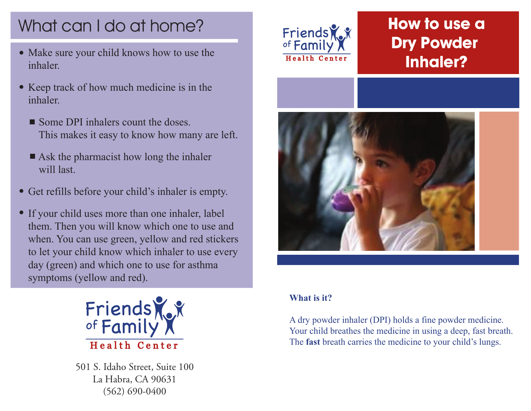# What can I do at home?

- Make sure your child knows how to use the inhaler.
- Keep track of how much medicine is in the inhaler.
	- Some DPI inhalers count the doses This makes it easy to know how many are left.
	- Ask the pharmacist how long the inhaler will last
- Get refills before your child's inhaler is empty.
- If your child uses more than one inhaler, label them. Then you will know which one to use and when. You can use green, yellow and red stickers to let your child know which inhaler to use every day (green) and which one to use for asthma symptoms (yellow and red).



501 S. Idaho Street, Suite 100 La Habra, CA 90631 (562) 690-0400



# **How to use a Dry Powder Inhaler?**



#### **What is it?**

A dry powder inhaler (DPI) holds a fine powder medicine. Your child breathes the medicine in using a deep, fast breath. The **fast** breath carries the medicine to your child's lungs.